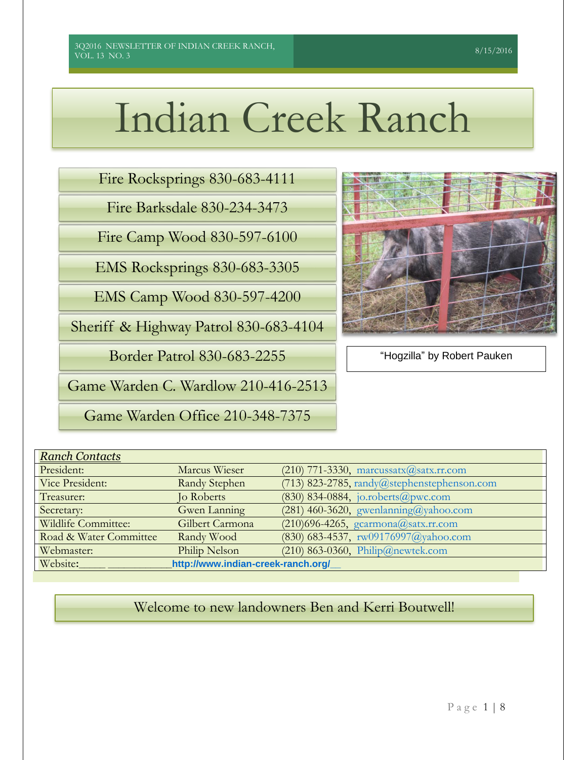# Indian Creek Ranch

Fire Rocksprings 830-683-4111

Fire Barksdale 830-234-3473

Fire Camp Wood 830-597-6100

EMS Rocksprings 830-683-3305

EMS Camp Wood 830-597-4200

Sheriff & Highway Patrol 830-683-4104

Border Patrol 830-683-2255

Game Warden C. Wardlow 210-416-2513

Game Warden Office 210-348-7375



"Hogzilla" by Robert Pauken

| <b>Ranch Contacts</b>                          |                      |                                               |  |  |  |  |
|------------------------------------------------|----------------------|-----------------------------------------------|--|--|--|--|
| President:                                     | Marcus Wieser        | $(210)$ 771-3330, marcussatx $@$ satx.rr.com  |  |  |  |  |
| Vice President:                                | <b>Randy Stephen</b> | $(713)$ 823-2785, randy@stephenstephenson.com |  |  |  |  |
| Treasurer:                                     | <b>Jo Roberts</b>    | $(830)$ 834-0884, jo.roberts@pwc.com          |  |  |  |  |
| Secretary:                                     | Gwen Lanning         | $(281)$ 460-3620, gwenlanning@yahoo.com       |  |  |  |  |
| Wildlife Committee:                            | Gilbert Carmona      | $(210)$ 696-4265, gcarmona@satx.rr.com        |  |  |  |  |
| Road & Water Committee                         | Randy Wood           | $(830)$ 683-4537, rw09176997@yahoo.com        |  |  |  |  |
| Webmaster:                                     | Philip Nelson        | $(210)$ 863-0360, Philip@newtek.com           |  |  |  |  |
| Website:<br>http://www.indian-creek-ranch.org/ |                      |                                               |  |  |  |  |

Welcome to new landowners Ben and Kerri Boutwell!

# 8/15/2016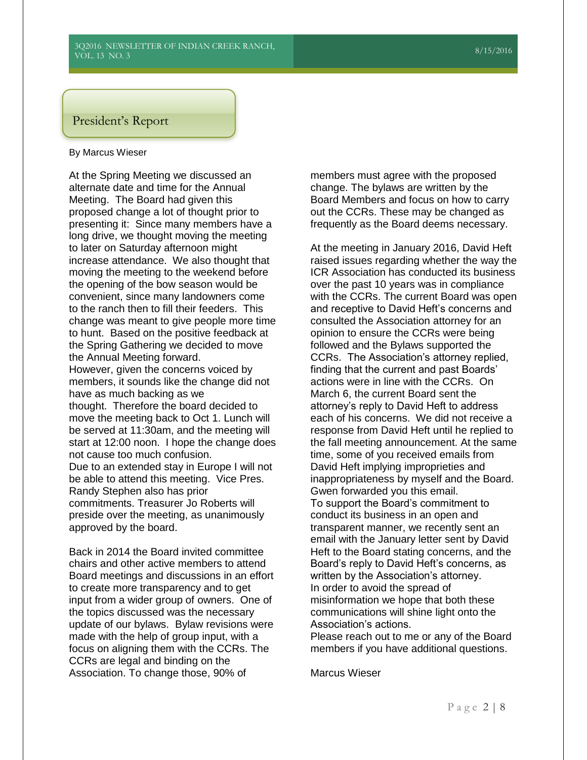# President's Report

#### By Marcus Wieser

At the Spring Meeting we discussed an alternate date and time for the Annual Meeting. The Board had given this proposed change a lot of thought prior to presenting it: Since many members have a long drive, we thought moving the meeting to later on Saturday afternoon might increase attendance. We also thought that moving the meeting to the weekend before the opening of the bow season would be convenient, since many landowners come to the ranch then to fill their feeders. This change was meant to give people more time to hunt. Based on the positive feedback at the Spring Gathering we decided to move the Annual Meeting forward. However, given the concerns voiced by members, it sounds like the change did not have as much backing as we thought. Therefore the board decided to move the meeting back to Oct 1. Lunch will be served at 11:30am, and the meeting will start at 12:00 noon. I hope the change does not cause too much confusion. Due to an extended stay in Europe I will not be able to attend this meeting. Vice Pres. Randy Stephen also has prior commitments. Treasurer Jo Roberts will preside over the meeting, as unanimously approved by the board.

Back in 2014 the Board invited committee chairs and other active members to attend Board meetings and discussions in an effort to create more transparency and to get input from a wider group of owners. One of the topics discussed was the necessary update of our bylaws. Bylaw revisions were made with the help of group input, with a focus on aligning them with the CCRs. The CCRs are legal and binding on the Association. To change those, 90% of

members must agree with the proposed change. The bylaws are written by the Board Members and focus on how to carry out the CCRs. These may be changed as frequently as the Board deems necessary.

At the meeting in January 2016, David Heft raised issues regarding whether the way the ICR Association has conducted its business over the past 10 years was in compliance with the CCRs. The current Board was open and receptive to David Heft's concerns and consulted the Association attorney for an opinion to ensure the CCRs were being followed and the Bylaws supported the CCRs. The Association's attorney replied, finding that the current and past Boards' actions were in line with the CCRs. On March 6, the current Board sent the attorney's reply to David Heft to address each of his concerns. We did not receive a response from David Heft until he replied to the fall meeting announcement. At the same time, some of you received emails from David Heft implying improprieties and inappropriateness by myself and the Board. Gwen forwarded you this email. To support the Board's commitment to conduct its business in an open and transparent manner, we recently sent an email with the January letter sent by David Heft to the Board stating concerns, and the Board's reply to David Heft's concerns, as written by the Association's attorney. In order to avoid the spread of misinformation we hope that both these communications will shine light onto the Association's actions.

Please reach out to me or any of the Board members if you have additional questions.

Marcus Wieser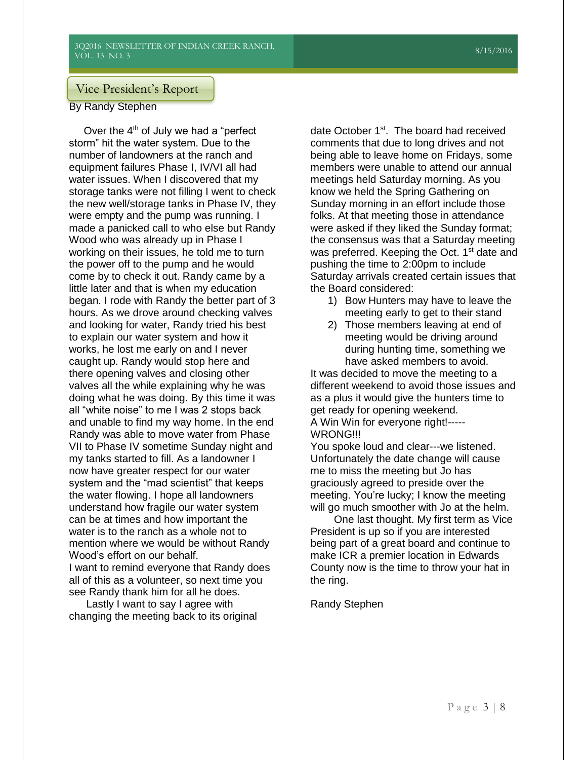# Vice President's Report

By Randy Stephen

Over the 4<sup>th</sup> of July we had a "perfect storm" hit the water system. Due to the<br>**Rumber of landaugare at the range and** number of landowners at the ranch and number or landowners at the ranch and<br>equipment failures Phase I, IV/VI all had water issues. When I discovered that my water issues. Wrien I discovered that my<br>storage tanks were not filling I went to check the new well/storage tanks in Phase IV, they were empty and the pump was running. I made a panicked call to who else but Randy Wood who was already up in Phase I working on their issues, he told me to turn the power off to the pump and he would come by to check it out. Randy came by a little later and that is when my education began. I rode with Randy the better part of 3 hours. As we drove around checking valves and looking for water, Randy tried his best to explain our water system and how it works, he lost me early on and I never caught up. Randy would stop here and there opening valves and closing other valves all the while explaining why he was doing what he was doing. By this time it was all "white noise" to me I was 2 stops back and unable to find my way home. In the end Randy was able to move water from Phase VII to Phase IV sometime Sunday night and my tanks started to fill. As a landowner I now have greater respect for our water system and the "mad scientist" that keeps the water flowing. I hope all landowners understand how fragile our water system can be at times and how important the water is to the ranch as a whole not to mention where we would be without Randy Wood's effort on our behalf. I want to remind everyone that Randy does all of this as a volunteer, so next time you an even be a commercy, so not make orage tanks were not ming

Lastly I want to say I agree with changing the meeting back to its original Phase II to Phase III to Phase III to Phase III to Phase III to Phase III to Phase III to Phase III to Phase I

date October 1<sup>st</sup>. The board had received comments that due to long drives and not being able to leave home on Fridays, some members were unable to attend our annual meetings held Saturday morning. As you know we held the Spring Gathering on Sunday morning in an effort include those folks. At that meeting those in attendance were asked if they liked the Sunday format; the consensus was that a Saturday meeting was preferred. Keeping the Oct. 1<sup>st</sup> date and pushing the time to 2:00pm to include Saturday arrivals created certain issues that the Board considered:

- 1) Bow Hunters may have to leave the meeting early to get to their stand
- 2) Those members leaving at end of meeting would be driving around during hunting time, something we have asked members to avoid.

It was decided to move the meeting to a different weekend to avoid those issues and as a plus it would give the hunters time to get ready for opening weekend. A Win Win for everyone right!----- WRONG!!!

You spoke loud and clear---we listened. Unfortunately the date change will cause me to miss the meeting but Jo has graciously agreed to preside over the meeting. You're lucky; I know the meeting will go much smoother with Jo at the helm.

 One last thought. My first term as Vice President is up so if you are interested being part of a great board and continue to make ICR a premier location in Edwards County now is the time to throw your hat in the ring.

Randy Stephen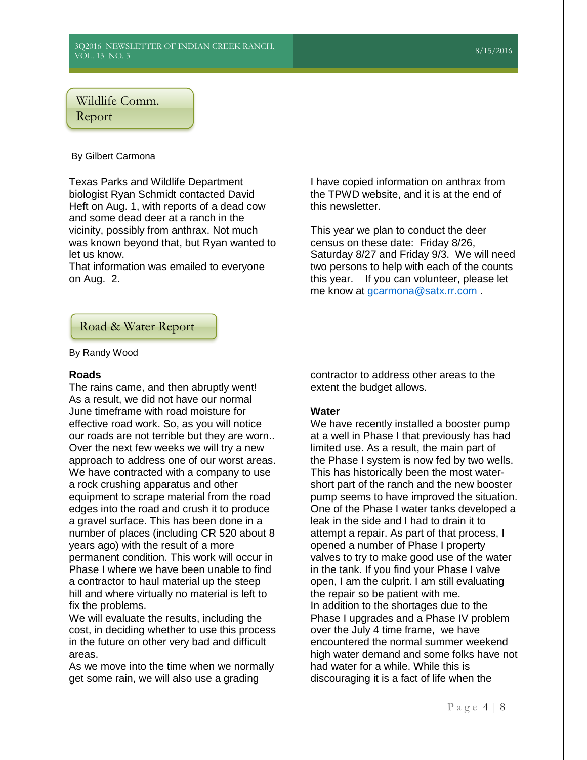# Wildlife Comm.

## Report

## By Gilbert Carmona

Texas Parks and Wildlife Department biologist Ryan Schmidt contacted David Heft on Aug. 1, with reports of a dead cow and some dead deer at a ranch in the vicinity, possibly from anthrax. Not much was known beyond that, but Ryan wanted to let us know.

That information was emailed to everyone on Aug. 2.

I have copied information on anthrax from the TPWD website, and it is at the end of this newsletter.

This year we plan to conduct the deer census on these date: Friday 8/26, Saturday 8/27 and Friday 9/3. We will need two persons to help with each of the counts this year. If you can volunteer, please let me know at [gcarmona@satx.rr.com](mailto:gcarmona@satx.rr.com) .

Road & Water Report

By Randy Wood

### **Roads**

The rains came, and then abruptly went! As a result, we did not have our normal June timeframe with road moisture for effective road work. So, as you will notice our roads are not terrible but they are worn.. Over the next few weeks we will try a new approach to address one of our worst areas. We have contracted with a company to use a rock crushing apparatus and other equipment to scrape material from the road edges into the road and crush it to produce a gravel surface. This has been done in a number of places (including CR 520 about 8 years ago) with the result of a more permanent condition. This work will occur in Phase I where we have been unable to find a contractor to haul material up the steep hill and where virtually no material is left to fix the problems.

We will evaluate the results, including the cost, in deciding whether to use this process in the future on other very bad and difficult areas.

As we move into the time when we normally get some rain, we will also use a grading

contractor to address other areas to the extent the budget allows.

## **Water**

We have recently installed a booster pump at a well in Phase I that previously has had limited use. As a result, the main part of the Phase I system is now fed by two wells. This has historically been the most watershort part of the ranch and the new booster pump seems to have improved the situation. One of the Phase I water tanks developed a leak in the side and I had to drain it to attempt a repair. As part of that process, I opened a number of Phase I property valves to try to make good use of the water in the tank. If you find your Phase I valve open, I am the culprit. I am still evaluating the repair so be patient with me. In addition to the shortages due to the Phase I upgrades and a Phase IV problem over the July 4 time frame, we have encountered the normal summer weekend high water demand and some folks have not had water for a while. While this is discouraging it is a fact of life when the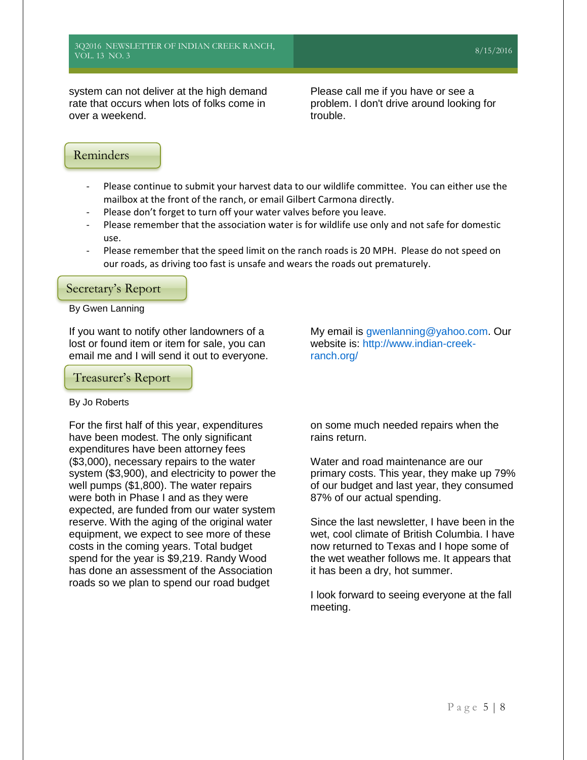system can not deliver at the high demand rate that occurs when lots of folks come in over a weekend.

Please call me if you have or see a problem. I don't drive around looking for trouble.

# Reminders

- Please continue to submit your harvest data to our wildlife committee. You can either use the mailbox at the front of the ranch, or email Gilbert Carmona directly.
- Please don't forget to turn off your water valves before you leave.
- Please remember that the association water is for wildlife use only and not safe for domestic use.
- Please remember that the speed limit on the ranch roads is 20 MPH. Please do not speed on our roads, as driving too fast is unsafe and wears the roads out prematurely.

## Secretary's Report

#### By Gwen Lanning

If you want to notify other landowners of a lost or found item or item for sale, you can email me and I will send it out to everyone.

Treasurer's Report

#### By Jo Roberts

For the first half of this year, expenditures have been modest. The only significant expenditures have been attorney fees (\$3,000), necessary repairs to the water system (\$3,900), and electricity to power the well pumps (\$1,800). The water repairs were both in Phase I and as they were expected, are funded from our water system reserve. With the aging of the original water equipment, we expect to see more of these costs in the coming years. Total budget spend for the year is \$9,219. Randy Wood has done an assessment of the Association roads so we plan to spend our road budget

My email is [gwenlanning@yahoo.com.](mailto:gwenlanning@yahoo.com) Our website is: [http://www.indian-creek](http://www.indian-creek-ranch.org/)[ranch.org/](http://www.indian-creek-ranch.org/)

on some much needed repairs when the rains return.

Water and road maintenance are our primary costs. This year, they make up 79% of our budget and last year, they consumed 87% of our actual spending.

Since the last newsletter, I have been in the wet, cool climate of British Columbia. I have now returned to Texas and I hope some of the wet weather follows me. It appears that it has been a dry, hot summer.

I look forward to seeing everyone at the fall meeting.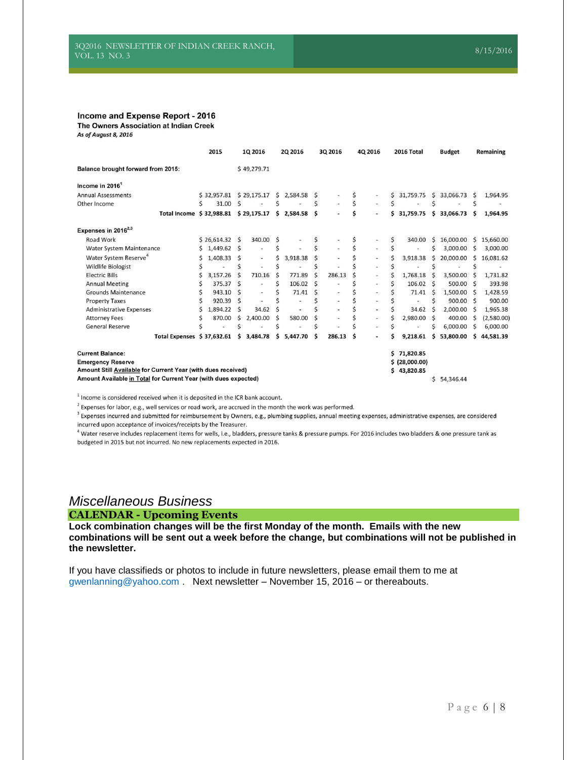#### Income and Expense Report - 2016

The Owners Association at Indian Creek

As of August 8, 2016

|                                                                                                                                                                                                                                             |   | 2015                      |              | 1Q 2016                  |   | 2Q 2016      |    | 3Q 2016                  |   | 4Q 2016                  |    | 2016 Total |               | <b>Budget</b> |              | Remaining  |
|---------------------------------------------------------------------------------------------------------------------------------------------------------------------------------------------------------------------------------------------|---|---------------------------|--------------|--------------------------|---|--------------|----|--------------------------|---|--------------------------|----|------------|---------------|---------------|--------------|------------|
| <b>Balance brought forward from 2015:</b>                                                                                                                                                                                                   |   |                           |              | \$49,279.71              |   |              |    |                          |   |                          |    |            |               |               |              |            |
| Income in $20161$                                                                                                                                                                                                                           |   |                           |              |                          |   |              |    |                          |   |                          |    |            |               |               |              |            |
| <b>Annual Assessments</b>                                                                                                                                                                                                                   |   | $$32,957.81$ $$29,175.17$ |              |                          |   | $5$ 2.584.58 | \$ |                          |   | ٠                        | Ś  | 31,759.75  | \$.           | 33,066.73     | <sup>S</sup> | 1,964.95   |
| Other Income                                                                                                                                                                                                                                | Ś | 31.00                     | Ś            |                          | Ś |              | Ś  |                          | Ś |                          |    |            |               |               | \$           |            |
| Total Income \$32,988.81 \$29,175.17                                                                                                                                                                                                        |   |                           |              |                          |   | $5$ 2.584.58 | \$ |                          | Ś | ٠                        | Ś. | 31,759.75  |               | \$33,066.73   | Ŝ            | 1,964.95   |
| Expenses in $2016^{2,3}$                                                                                                                                                                                                                    |   |                           |              |                          |   |              |    |                          |   |                          |    |            |               |               |              |            |
| <b>Road Work</b>                                                                                                                                                                                                                            |   | $$26,614.32$ \$           |              | 340.00                   |   |              |    |                          |   |                          | \$ | 340.00     | \$            | 16,000.00     | Ś            | 15,660.00  |
| Water System Maintenance                                                                                                                                                                                                                    |   | 1,449.62                  | <sub>S</sub> |                          |   |              |    |                          |   |                          |    |            | Ś             | 3,000.00      | Ś            | 3,000.00   |
| Water System Reserve <sup>4</sup>                                                                                                                                                                                                           | Ś | 1,408.33                  | \$           | $\overline{\phantom{m}}$ |   | 3,918.38     |    |                          |   | $\overline{\phantom{a}}$ |    | 3,918.38   | $\mathsf{S}$  | 20,000.00     | \$.          | 16,081.62  |
| <b>Wildlife Biologist</b>                                                                                                                                                                                                                   |   |                           |              |                          |   |              |    |                          |   | $\overline{\phantom{a}}$ |    |            |               |               |              |            |
| <b>Electric Bills</b>                                                                                                                                                                                                                       | Ś | 3,157.26                  | Ś            | 710.16                   |   | 771.89       | Ś  | 286.13                   |   | ٠                        |    | 1.768.18   | Ś             | 3,500.00      |              | 1,731.82   |
| <b>Annual Meeting</b>                                                                                                                                                                                                                       |   | 375.37 \$                 |              |                          | Ś | 106.02       | Ś  |                          |   | $\blacksquare$           |    | 106.02     | Ŝ             | 500.00        | <b>S</b>     | 393.98     |
| <b>Grounds Maintenance</b>                                                                                                                                                                                                                  |   | 943.10                    | Ś            |                          |   | 71.41        | S  |                          |   |                          |    | 71.41      | S             | 1,500.00      | S            | 1,428.59   |
| <b>Property Taxes</b>                                                                                                                                                                                                                       |   | 920.39                    | Ŝ            |                          |   |              |    | $\overline{\phantom{a}}$ |   |                          |    |            |               | 900.00        | -Ś           | 900.00     |
| <b>Administrative Expenses</b>                                                                                                                                                                                                              |   | 1,894.22                  | Ś            | 34.62                    |   |              |    | $\overline{\phantom{a}}$ |   | $\overline{\phantom{a}}$ |    | 34.62      | <sup>\$</sup> | 2,000.00      |              | 1,965.38   |
| <b>Attorney Fees</b>                                                                                                                                                                                                                        |   | 870.00                    | Ś            | 2,400.00                 |   | 580.00       |    |                          |   | $\overline{\phantom{a}}$ |    | 2,980.00   | Ś             | 400.00        | Ŝ            | (2,580.00) |
| <b>General Reserve</b>                                                                                                                                                                                                                      |   |                           | ς            |                          | Ś |              |    |                          |   | $\overline{\phantom{a}}$ |    |            | Ś             | 6,000.00      | S            | 6,000.00   |
| Total Expenses \$37,632.61                                                                                                                                                                                                                  |   |                           | \$           | 3,484.78                 | Ś | 5,447.70     | Ś  | 286.13                   | Ś |                          |    | 9.218.61   | Ś             | 53.800.00     | Ś            | 44,581.39  |
| <b>Current Balance:</b><br>71,820.85<br>\$.<br>\$ (28,000.00)<br><b>Emergency Reserve</b><br>Amount Still Available for Current Year (with dues received)<br>\$43,820.85<br>Amount Available in Total for Current Year (with dues expected) |   |                           |              |                          |   |              |    |                          |   |                          |    |            |               |               |              |            |
|                                                                                                                                                                                                                                             |   |                           |              |                          |   |              |    |                          |   |                          |    |            | Ś             | 54,346.44     |              |            |

 $1$  Income is considered received when it is deposited in the ICR bank account.

 $^{2}$  Expenses for labor, e.g., well services or road work, are accrued in the month the work was performed.

<sup>3</sup> Expenses incurred and submitted for reimbursement by Owners, e.g., plumbing supplies, annual meeting expenses, administrative expenses, are considered incurred upon acceptance of invoices/receipts by the Treasurer.

 $^4$  Water reserve includes replacement items for wells, i.e., bladders, pressure tanks & pressure pumps. For 2016 includes two bladders & one pressure tank as budgeted in 2015 but not incurred. No new replacements expected in 2016.

# *Miscellaneous Business*

#### **CALENDAR - Upcoming Events**

**Lock combination changes will be the first Monday of the month. Emails with the new combinations will be sent out a week before the change, but combinations will not be published in the newsletter.**

If you have classifieds or photos to include in future newsletters, please email them to me at [gwenlanning@yahoo.com](mailto:gwenlanning@yahoo.com) . Next newsletter – November 15, 2016 – or thereabouts.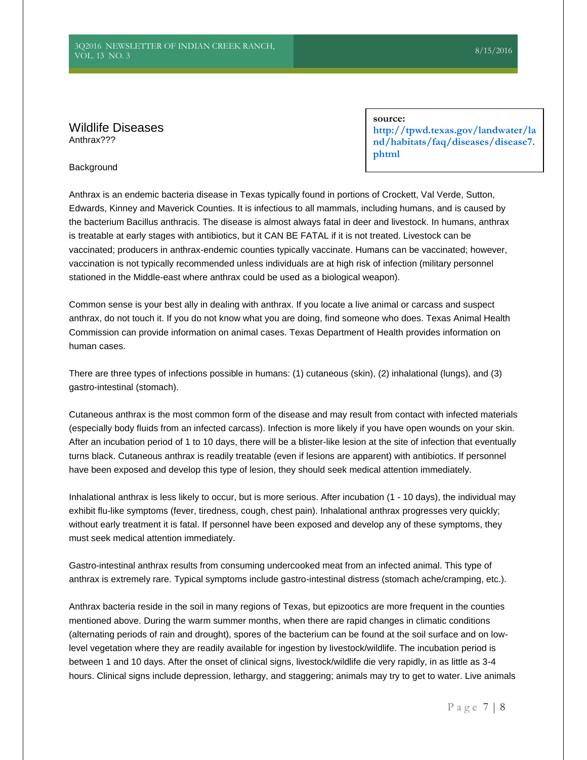## Wildlife Diseases Anthrax???

**source:**

**[http://tpwd.texas.gov/landwater/la](http://tpwd.texas.gov/landwater/land/habitats/faq/diseases/disease7.phtml) [nd/habitats/faq/diseases/disease7.](http://tpwd.texas.gov/landwater/land/habitats/faq/diseases/disease7.phtml) [phtml](http://tpwd.texas.gov/landwater/land/habitats/faq/diseases/disease7.phtml)**

#### **Background**

Anthrax is an endemic bacteria disease in Texas typically found in portions of Crockett, Val Verde, Sutton, Edwards, Kinney and Maverick Counties. It is infectious to all mammals, including humans, and is caused by the bacterium Bacillus anthracis. The disease is almost always fatal in deer and livestock. In humans, anthrax is treatable at early stages with antibiotics, but it CAN BE FATAL if it is not treated. Livestock can be vaccinated; producers in anthrax-endemic counties typically vaccinate. Humans can be vaccinated; however, vaccination is not typically recommended unless individuals are at high risk of infection (military personnel stationed in the Middle-east where anthrax could be used as a biological weapon).

Common sense is your best ally in dealing with anthrax. If you locate a live animal or carcass and suspect anthrax, do not touch it. If you do not know what you are doing, find someone who does. Texas Animal Health Commission can provide information on animal cases. Texas Department of Health provides information on human cases.

There are three types of infections possible in humans: (1) cutaneous (skin), (2) inhalational (lungs), and (3) gastro-intestinal (stomach).

Cutaneous anthrax is the most common form of the disease and may result from contact with infected materials (especially body fluids from an infected carcass). Infection is more likely if you have open wounds on your skin. After an incubation period of 1 to 10 days, there will be a blister-like lesion at the site of infection that eventually turns black. Cutaneous anthrax is readily treatable (even if lesions are apparent) with antibiotics. If personnel have been exposed and develop this type of lesion, they should seek medical attention immediately.

Inhalational anthrax is less likely to occur, but is more serious. After incubation (1 - 10 days), the individual may exhibit flu-like symptoms (fever, tiredness, cough, chest pain). Inhalational anthrax progresses very quickly; without early treatment it is fatal. If personnel have been exposed and develop any of these symptoms, they must seek medical attention immediately.

Gastro-intestinal anthrax results from consuming undercooked meat from an infected animal. This type of anthrax is extremely rare. Typical symptoms include gastro-intestinal distress (stomach ache/cramping, etc.).

Anthrax bacteria reside in the soil in many regions of Texas, but epizootics are more frequent in the counties mentioned above. During the warm summer months, when there are rapid changes in climatic conditions (alternating periods of rain and drought), spores of the bacterium can be found at the soil surface and on lowlevel vegetation where they are readily available for ingestion by livestock/wildlife. The incubation period is between 1 and 10 days. After the onset of clinical signs, livestock/wildlife die very rapidly, in as little as 3-4 hours. Clinical signs include depression, lethargy, and staggering; animals may try to get to water. Live animals